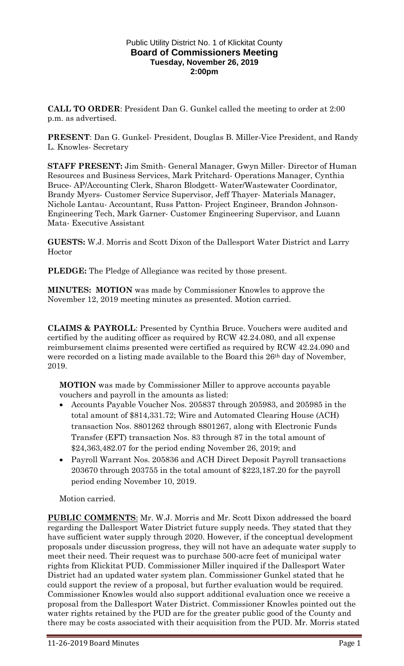## Public Utility District No. 1 of Klickitat County **Board of Commissioners Meeting Tuesday, November 26, 2019 2:00pm**

**CALL TO ORDER**: President Dan G. Gunkel called the meeting to order at 2:00 p.m. as advertised.

**PRESENT**: Dan G. Gunkel- President, Douglas B. Miller-Vice President, and Randy L. Knowles- Secretary

**STAFF PRESENT:** Jim Smith- General Manager, Gwyn Miller- Director of Human Resources and Business Services, Mark Pritchard- Operations Manager, Cynthia Bruce- AP/Accounting Clerk, Sharon Blodgett- Water/Wastewater Coordinator, Brandy Myers- Customer Service Supervisor, Jeff Thayer- Materials Manager, Nichole Lantau- Accountant, Russ Patton- Project Engineer, Brandon Johnson-Engineering Tech, Mark Garner- Customer Engineering Supervisor, and Luann Mata- Executive Assistant

**GUESTS:** W.J. Morris and Scott Dixon of the Dallesport Water District and Larry Hoctor

**PLEDGE:** The Pledge of Allegiance was recited by those present.

**MINUTES: MOTION** was made by Commissioner Knowles to approve the November 12, 2019 meeting minutes as presented. Motion carried.

**CLAIMS & PAYROLL**: Presented by Cynthia Bruce. Vouchers were audited and certified by the auditing officer as required by RCW 42.24.080, and all expense reimbursement claims presented were certified as required by RCW 42.24.090 and were recorded on a listing made available to the Board this 26<sup>th</sup> day of November, 2019.

**MOTION** was made by Commissioner Miller to approve accounts payable vouchers and payroll in the amounts as listed:

- Accounts Payable Voucher Nos. 205837 through 205983, and 205985 in the total amount of \$814,331.72; Wire and Automated Clearing House (ACH) transaction Nos. 8801262 through 8801267, along with Electronic Funds Transfer (EFT) transaction Nos. 83 through 87 in the total amount of \$24,363,482.07 for the period ending November 26, 2019; and
- Payroll Warrant Nos. 205836 and ACH Direct Deposit Payroll transactions 203670 through 203755 in the total amount of \$223,187.20 for the payroll period ending November 10, 2019.

Motion carried.

**PUBLIC COMMENTS**: Mr. W.J. Morris and Mr. Scott Dixon addressed the board regarding the Dallesport Water District future supply needs. They stated that they have sufficient water supply through 2020. However, if the conceptual development proposals under discussion progress, they will not have an adequate water supply to meet their need. Their request was to purchase 500-acre feet of municipal water rights from Klickitat PUD. Commissioner Miller inquired if the Dallesport Water District had an updated water system plan. Commissioner Gunkel stated that he could support the review of a proposal, but further evaluation would be required. Commissioner Knowles would also support additional evaluation once we receive a proposal from the Dallesport Water District. Commissioner Knowles pointed out the water rights retained by the PUD are for the greater public good of the County and there may be costs associated with their acquisition from the PUD. Mr. Morris stated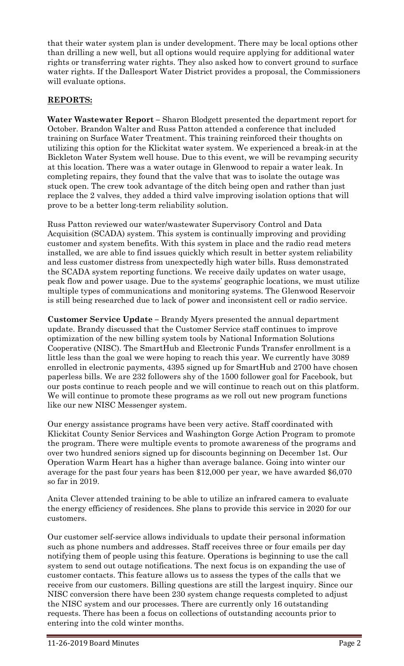that their water system plan is under development. There may be local options other than drilling a new well, but all options would require applying for additional water rights or transferring water rights. They also asked how to convert ground to surface water rights. If the Dallesport Water District provides a proposal, the Commissioners will evaluate options.

## **REPORTS:**

**Water Wastewater Report –** Sharon Blodgett presented the department report for October. Brandon Walter and Russ Patton attended a conference that included training on Surface Water Treatment. This training reinforced their thoughts on utilizing this option for the Klickitat water system. We experienced a break-in at the Bickleton Water System well house. Due to this event, we will be revamping security at this location. There was a water outage in Glenwood to repair a water leak. In completing repairs, they found that the valve that was to isolate the outage was stuck open. The crew took advantage of the ditch being open and rather than just replace the 2 valves, they added a third valve improving isolation options that will prove to be a better long-term reliability solution.

Russ Patton reviewed our water/wastewater Supervisory Control and Data Acquisition (SCADA) system. This system is continually improving and providing customer and system benefits. With this system in place and the radio read meters installed, we are able to find issues quickly which result in better system reliability and less customer distress from unexpectedly high water bills. Russ demonstrated the SCADA system reporting functions. We receive daily updates on water usage, peak flow and power usage. Due to the systems' geographic locations, we must utilize multiple types of communications and monitoring systems. The Glenwood Reservoir is still being researched due to lack of power and inconsistent cell or radio service.

**Customer Service Update –** Brandy Myers presented the annual department update. Brandy discussed that the Customer Service staff continues to improve optimization of the new billing system tools by National Information Solutions Cooperative (NISC). The SmartHub and Electronic Funds Transfer enrollment is a little less than the goal we were hoping to reach this year. We currently have 3089 enrolled in electronic payments, 4395 signed up for SmartHub and 2700 have chosen paperless bills. We are 232 followers shy of the 1500 follower goal for Facebook, but our posts continue to reach people and we will continue to reach out on this platform. We will continue to promote these programs as we roll out new program functions like our new NISC Messenger system.

Our energy assistance programs have been very active. Staff coordinated with Klickitat County Senior Services and Washington Gorge Action Program to promote the program. There were multiple events to promote awareness of the programs and over two hundred seniors signed up for discounts beginning on December 1st. Our Operation Warm Heart has a higher than average balance. Going into winter our average for the past four years has been \$12,000 per year, we have awarded \$6,070 so far in 2019.

Anita Clever attended training to be able to utilize an infrared camera to evaluate the energy efficiency of residences. She plans to provide this service in 2020 for our customers.

Our customer self-service allows individuals to update their personal information such as phone numbers and addresses. Staff receives three or four emails per day notifying them of people using this feature. Operations is beginning to use the call system to send out outage notifications. The next focus is on expanding the use of customer contacts. This feature allows us to assess the types of the calls that we receive from our customers. Billing questions are still the largest inquiry. Since our NISC conversion there have been 230 system change requests completed to adjust the NISC system and our processes. There are currently only 16 outstanding requests. There has been a focus on collections of outstanding accounts prior to entering into the cold winter months.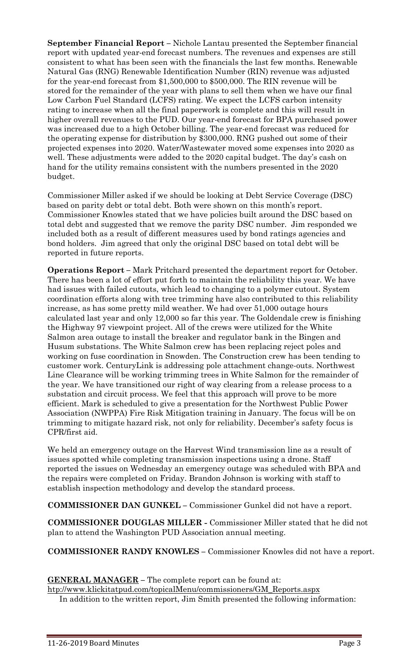**September Financial Report –** Nichole Lantau presented the September financial report with updated year-end forecast numbers. The revenues and expenses are still consistent to what has been seen with the financials the last few months. Renewable Natural Gas (RNG) Renewable Identification Number (RIN) revenue was adjusted for the year-end forecast from \$1,500,000 to \$500,000. The RIN revenue will be stored for the remainder of the year with plans to sell them when we have our final Low Carbon Fuel Standard (LCFS) rating. We expect the LCFS carbon intensity rating to increase when all the final paperwork is complete and this will result in higher overall revenues to the PUD. Our year-end forecast for BPA purchased power was increased due to a high October billing. The year-end forecast was reduced for the operating expense for distribution by \$300,000. RNG pushed out some of their projected expenses into 2020. Water/Wastewater moved some expenses into 2020 as well. These adjustments were added to the 2020 capital budget. The day's cash on hand for the utility remains consistent with the numbers presented in the 2020 budget.

Commissioner Miller asked if we should be looking at Debt Service Coverage (DSC) based on parity debt or total debt. Both were shown on this month's report. Commissioner Knowles stated that we have policies built around the DSC based on total debt and suggested that we remove the parity DSC number. Jim responded we included both as a result of different measures used by bond ratings agencies and bond holders. Jim agreed that only the original DSC based on total debt will be reported in future reports.

**Operations Report –** Mark Pritchard presented the department report for October. There has been a lot of effort put forth to maintain the reliability this year. We have had issues with failed cutouts, which lead to changing to a polymer cutout. System coordination efforts along with tree trimming have also contributed to this reliability increase, as has some pretty mild weather. We had over 51,000 outage hours calculated last year and only 12,000 so far this year. The Goldendale crew is finishing the Highway 97 viewpoint project. All of the crews were utilized for the White Salmon area outage to install the breaker and regulator bank in the Bingen and Husum substations. The White Salmon crew has been replacing reject poles and working on fuse coordination in Snowden. The Construction crew has been tending to customer work. CenturyLink is addressing pole attachment change-outs. Northwest Line Clearance will be working trimming trees in White Salmon for the remainder of the year. We have transitioned our right of way clearing from a release process to a substation and circuit process. We feel that this approach will prove to be more efficient. Mark is scheduled to give a presentation for the Northwest Public Power Association (NWPPA) Fire Risk Mitigation training in January. The focus will be on trimming to mitigate hazard risk, not only for reliability. December's safety focus is CPR/first aid.

We held an emergency outage on the Harvest Wind transmission line as a result of issues spotted while completing transmission inspections using a drone. Staff reported the issues on Wednesday an emergency outage was scheduled with BPA and the repairs were completed on Friday. Brandon Johnson is working with staff to establish inspection methodology and develop the standard process.

**COMMISSIONER DAN GUNKEL –** Commissioner Gunkel did not have a report.

**COMMISSIONER DOUGLAS MILLER -** Commissioner Miller stated that he did not plan to attend the Washington PUD Association annual meeting.

**COMMISSIONER RANDY KNOWLES –** Commissioner Knowles did not have a report.

**GENERAL MANAGER –** The complete report can be found at:

[htp://www.klickitatpud.com/topicalMenu/commissioners/GM\\_Reports.aspx](http://www.klickitatpud.com/topicalMenu/commissioners/GM_Reports.aspx)

In addition to the written report, Jim Smith presented the following information: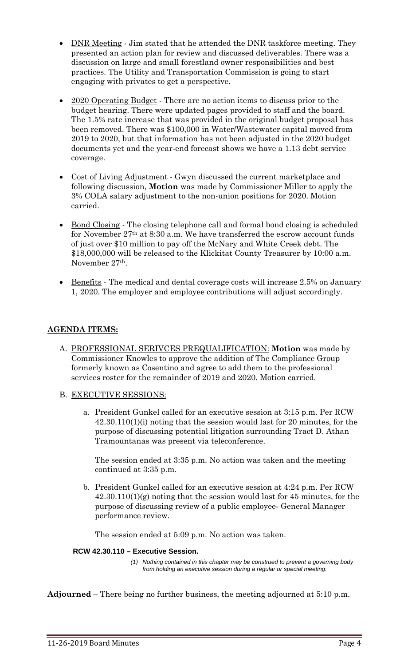- DNR Meeting Jim stated that he attended the DNR taskforce meeting. They presented an action plan for review and discussed deliverables. There was a discussion on large and small forestland owner responsibilities and best practices. The Utility and Transportation Commission is going to start engaging with privates to get a perspective.
- 2020 Operating Budget There are no action items to discuss prior to the budget hearing. There were updated pages provided to staff and the board. The 1.5% rate increase that was provided in the original budget proposal has been removed. There was \$100,000 in Water/Wastewater capital moved from 2019 to 2020, but that information has not been adjusted in the 2020 budget documents yet and the year-end forecast shows we have a 1.13 debt service coverage.
- Cost of Living Adjustment Gwyn discussed the current marketplace and following discussion, **Motion** was made by Commissioner Miller to apply the 3% COLA salary adjustment to the non-union positions for 2020. Motion carried.
- Bond Closing The closing telephone call and formal bond closing is scheduled for November 27th at 8:30 a.m. We have transferred the escrow account funds of just over \$10 million to pay off the McNary and White Creek debt. The \$18,000,000 will be released to the Klickitat County Treasurer by 10:00 a.m. November 27th.
- Benefits The medical and dental coverage costs will increase 2.5% on January 1, 2020. The employer and employee contributions will adjust accordingly.

## **AGENDA ITEMS:**

- A. PROFESSIONAL SERIVCES PREQUALIFICATION: **Motion** was made by Commissioner Knowles to approve the addition of The Compliance Group formerly known as Cosentino and agree to add them to the professional services roster for the remainder of 2019 and 2020. Motion carried.
- B. EXECUTIVE SESSIONS:
	- a. President Gunkel called for an executive session at 3:15 p.m. Per RCW 42.30.110(1)(i) noting that the session would last for 20 minutes, for the purpose of discussing potential litigation surrounding Tract D. Athan Tramountanas was present via teleconference.

The session ended at 3:35 p.m. No action was taken and the meeting continued at 3:35 p.m.

b. President Gunkel called for an executive session at 4:24 p.m. Per RCW 42.30.110(1)(g) noting that the session would last for 45 minutes, for the purpose of discussing review of a public employee- General Manager performance review.

The session ended at 5:09 p.m. No action was taken.

## **RCW 42.30.110 – Executive Session.**

*(1) Nothing contained in this chapter may be construed to prevent a governing body from holding an executive session during a regular or special meeting:*

**Adjourned** – There being no further business, the meeting adjourned at 5:10 p.m.